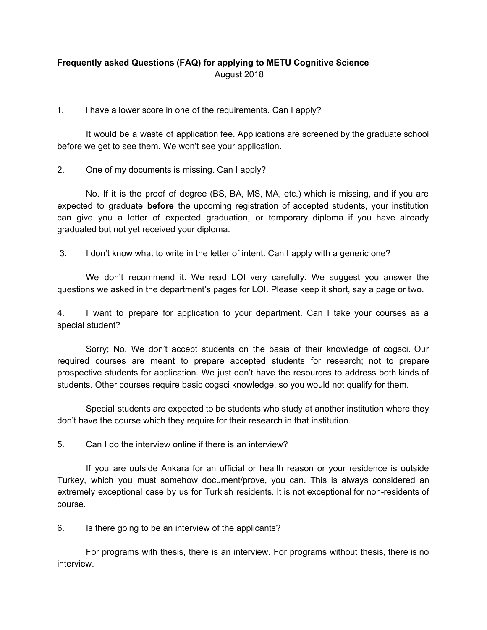## **Frequently asked Questions (FAQ) for applying to METU Cognitive Science** August 2018

1. I have a lower score in one of the requirements. Can I apply?

It would be a waste of application fee. Applications are screened by the graduate school before we get to see them. We won't see your application.

2. One of my documents is missing. Can I apply?

No. If it is the proof of degree (BS, BA, MS, MA, etc.) which is missing, and if you are expected to graduate **before** the upcoming registration of accepted students, your institution can give you a letter of expected graduation, or temporary diploma if you have already graduated but not yet received your diploma.

3. I don't know what to write in the letter of intent. Can I apply with a generic one?

We don't recommend it. We read LOI very carefully. We suggest you answer the questions we asked in the department's pages for LOI. Please keep it short, say a page or two.

4. I want to prepare for application to your department. Can I take your courses as a special student?

Sorry; No. We don't accept students on the basis of their knowledge of cogsci. Our required courses are meant to prepare accepted students for research; not to prepare prospective students for application. We just don't have the resources to address both kinds of students. Other courses require basic cogsci knowledge, so you would not qualify for them.

Special students are expected to be students who study at another institution where they don't have the course which they require for their research in that institution.

5. Can I do the interview online if there is an interview?

If you are outside Ankara for an official or health reason or your residence is outside Turkey, which you must somehow document/prove, you can. This is always considered an extremely exceptional case by us for Turkish residents. It is not exceptional for non-residents of course.

6. Is there going to be an interview of the applicants?

For programs with thesis, there is an interview. For programs without thesis, there is no interview.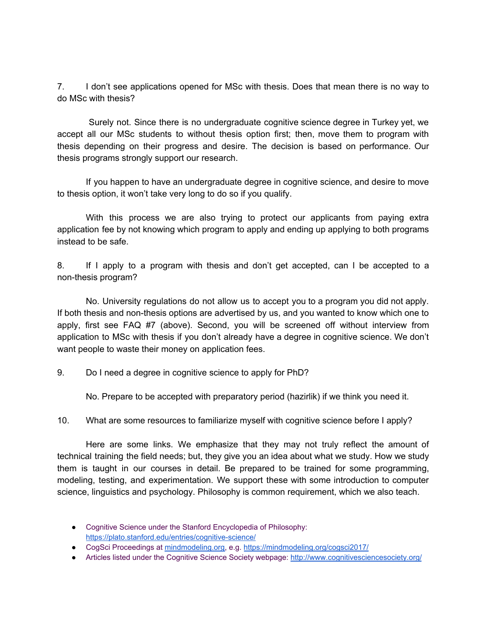7. I don't see applications opened for MSc with thesis. Does that mean there is no way to do MSc with thesis?

Surely not. Since there is no undergraduate cognitive science degree in Turkey yet, we accept all our MSc students to without thesis option first; then, move them to program with thesis depending on their progress and desire. The decision is based on performance. Our thesis programs strongly support our research.

If you happen to have an undergraduate degree in cognitive science, and desire to move to thesis option, it won't take very long to do so if you qualify.

With this process we are also trying to protect our applicants from paying extra application fee by not knowing which program to apply and ending up applying to both programs instead to be safe.

8. If I apply to a program with thesis and don't get accepted, can I be accepted to a non-thesis program?

No. University regulations do not allow us to accept you to a program you did not apply. If both thesis and non-thesis options are advertised by us, and you wanted to know which one to apply, first see FAQ #7 (above). Second, you will be screened off without interview from application to MSc with thesis if you don't already have a degree in cognitive science. We don't want people to waste their money on application fees.

9. Do I need a degree in cognitive science to apply for PhD?

No. Prepare to be accepted with preparatory period (hazirlik) if we think you need it.

10. What are some resources to familiarize myself with cognitive science before I apply?

Here are some links. We emphasize that they may not truly reflect the amount of technical training the field needs; but, they give you an idea about what we study. How we study them is taught in our courses in detail. Be prepared to be trained for some programming, modeling, testing, and experimentation. We support these with some introduction to computer science, linguistics and psychology. Philosophy is common requirement, which we also teach.

- Cognitive Science under the Stanford Encyclopedia of Philosophy: <https://plato.stanford.edu/entries/cognitive-science/>
- CogSci Proceedings at [mindmodeling.org,](http://mindmodeling.org/) e.g. <https://mindmodeling.org/cogsci2017/>
- Articles listed under the Cognitive Science Society webpage: <http://www.cognitivesciencesociety.org/>